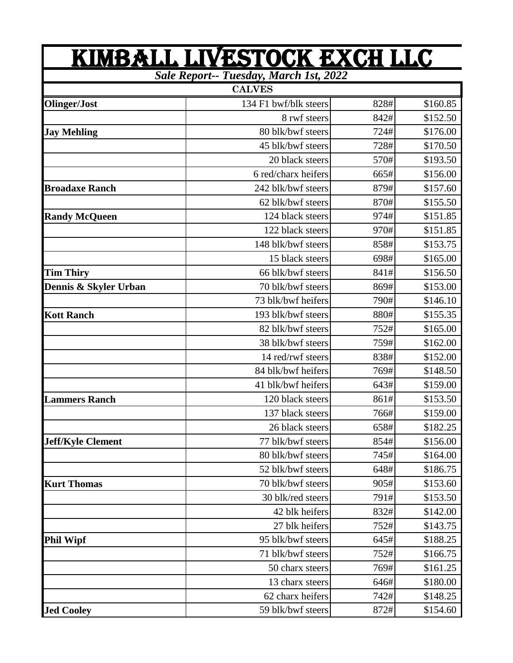| <u>KIMBALL LIVESTOCK EXCH LLC</u><br><b>Sale Report-- Tuesday, March 1st, 2022</b> |                       |      |          |  |
|------------------------------------------------------------------------------------|-----------------------|------|----------|--|
|                                                                                    |                       |      |          |  |
| Olinger/Jost                                                                       | 134 F1 bwf/blk steers | 828# | \$160.85 |  |
|                                                                                    | 8 rwf steers          | 842# | \$152.50 |  |
| <b>Jay Mehling</b>                                                                 | 80 blk/bwf steers     | 724# | \$176.00 |  |
|                                                                                    | 45 blk/bwf steers     | 728# | \$170.50 |  |
|                                                                                    | 20 black steers       | 570# | \$193.50 |  |
|                                                                                    | 6 red/charx heifers   | 665# | \$156.00 |  |
| <b>Broadaxe Ranch</b>                                                              | 242 blk/bwf steers    | 879# | \$157.60 |  |
|                                                                                    | 62 blk/bwf steers     | 870# | \$155.50 |  |
| <b>Randy McQueen</b>                                                               | 124 black steers      | 974# | \$151.85 |  |
|                                                                                    | 122 black steers      | 970# | \$151.85 |  |
|                                                                                    | 148 blk/bwf steers    | 858# | \$153.75 |  |
|                                                                                    | 15 black steers       | 698# | \$165.00 |  |
| <b>Tim Thiry</b>                                                                   | 66 blk/bwf steers     | 841# | \$156.50 |  |
| Dennis & Skyler Urban                                                              | 70 blk/bwf steers     | 869# | \$153.00 |  |
|                                                                                    | 73 blk/bwf heifers    | 790# | \$146.10 |  |
| <b>Kott Ranch</b>                                                                  | 193 blk/bwf steers    | 880# | \$155.35 |  |
|                                                                                    | 82 blk/bwf steers     | 752# | \$165.00 |  |
|                                                                                    | 38 blk/bwf steers     | 759# | \$162.00 |  |
|                                                                                    | 14 red/rwf steers     | 838# | \$152.00 |  |
|                                                                                    | 84 blk/bwf heifers    | 769# | \$148.50 |  |
|                                                                                    | 41 blk/bwf heifers    | 643# | \$159.00 |  |
| <b>Lammers Ranch</b>                                                               | 120 black steers      | 861# | \$153.50 |  |
|                                                                                    | 137 black steers      | 766# | \$159.00 |  |
|                                                                                    | 26 black steers       | 658# | \$182.25 |  |
| <b>Jeff/Kyle Clement</b>                                                           | 77 blk/bwf steers     | 854# | \$156.00 |  |
|                                                                                    | 80 blk/bwf steers     | 745# | \$164.00 |  |
|                                                                                    | 52 blk/bwf steers     | 648# | \$186.75 |  |
| <b>Kurt Thomas</b>                                                                 | 70 blk/bwf steers     | 905# | \$153.60 |  |
|                                                                                    | 30 blk/red steers     | 791# | \$153.50 |  |
|                                                                                    | 42 blk heifers        | 832# | \$142.00 |  |
|                                                                                    | 27 blk heifers        | 752# | \$143.75 |  |
| <b>Phil Wipf</b>                                                                   | 95 blk/bwf steers     | 645# | \$188.25 |  |
|                                                                                    | 71 blk/bwf steers     | 752# | \$166.75 |  |
|                                                                                    | 50 charx steers       | 769# | \$161.25 |  |
|                                                                                    | 13 charx steers       | 646# | \$180.00 |  |
|                                                                                    | 62 charx heifers      | 742# | \$148.25 |  |
| <b>Jed Cooley</b>                                                                  | 59 blk/bwf steers     | 872# | \$154.60 |  |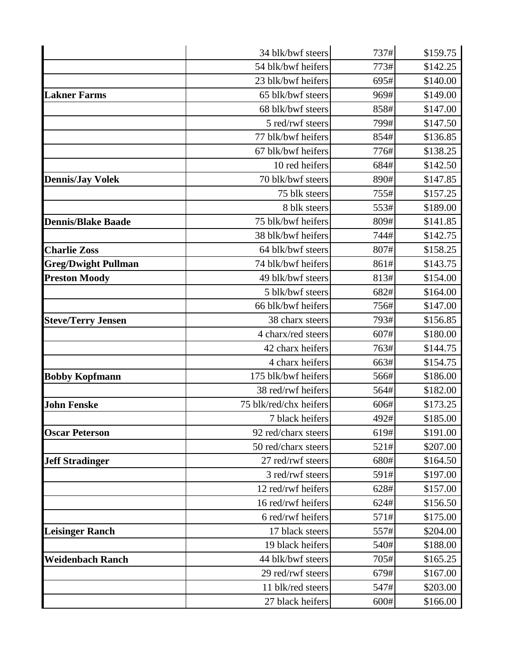|                            | 34 blk/bwf steers      | 737# | \$159.75 |
|----------------------------|------------------------|------|----------|
|                            | 54 blk/bwf heifers     | 773# | \$142.25 |
|                            | 23 blk/bwf heifers     | 695# | \$140.00 |
| <b>Lakner Farms</b>        | 65 blk/bwf steers      | 969# | \$149.00 |
|                            | 68 blk/bwf steers      | 858# | \$147.00 |
|                            | 5 red/rwf steers       | 799# | \$147.50 |
|                            | 77 blk/bwf heifers     | 854# | \$136.85 |
|                            | 67 blk/bwf heifers     | 776# | \$138.25 |
|                            | 10 red heifers         | 684# | \$142.50 |
| <b>Dennis/Jay Volek</b>    | 70 blk/bwf steers      | 890# | \$147.85 |
|                            | 75 blk steers          | 755# | \$157.25 |
|                            | 8 blk steers           | 553# | \$189.00 |
| <b>Dennis/Blake Baade</b>  | 75 blk/bwf heifers     | 809# | \$141.85 |
|                            | 38 blk/bwf heifers     | 744# | \$142.75 |
| <b>Charlie Zoss</b>        | 64 blk/bwf steers      | 807# | \$158.25 |
| <b>Greg/Dwight Pullman</b> | 74 blk/bwf heifers     | 861# | \$143.75 |
| <b>Preston Moody</b>       | 49 blk/bwf steers      | 813# | \$154.00 |
|                            | 5 blk/bwf steers       | 682# | \$164.00 |
|                            | 66 blk/bwf heifers     | 756# | \$147.00 |
| <b>Steve/Terry Jensen</b>  | 38 charx steers        | 793# | \$156.85 |
|                            | 4 charx/red steers     | 607# | \$180.00 |
|                            | 42 charx heifers       | 763# | \$144.75 |
|                            | 4 charx heifers        | 663# | \$154.75 |
| <b>Bobby Kopfmann</b>      | 175 blk/bwf heifers    | 566# | \$186.00 |
|                            | 38 red/rwf heifers     | 564# | \$182.00 |
| <b>John Fenske</b>         | 75 blk/red/chx heifers | 606# | \$173.25 |
|                            | 7 black heifers        | 492# | \$185.00 |
| <b>Oscar Peterson</b>      | 92 red/charx steers    | 619# | \$191.00 |
|                            | 50 red/charx steers    | 521# | \$207.00 |
| <b>Jeff Stradinger</b>     | 27 red/rwf steers      | 680# | \$164.50 |
|                            | 3 red/rwf steers       | 591# | \$197.00 |
|                            | 12 red/rwf heifers     | 628# | \$157.00 |
|                            | 16 red/rwf heifers     | 624# | \$156.50 |
|                            | 6 red/rwf heifers      | 571# | \$175.00 |
| <b>Leisinger Ranch</b>     | 17 black steers        | 557# | \$204.00 |
|                            | 19 black heifers       | 540# | \$188.00 |
| <b>Weidenbach Ranch</b>    | 44 blk/bwf steers      | 705# | \$165.25 |
|                            | 29 red/rwf steers      | 679# | \$167.00 |
|                            | 11 blk/red steers      | 547# | \$203.00 |
|                            | 27 black heifers       | 600# | \$166.00 |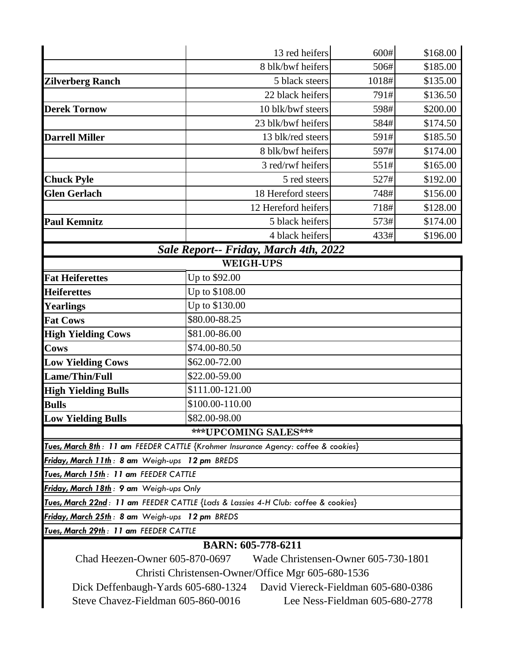|                                                                            | 13 red heifers                                                                    | 600#  | \$168.00 |  |  |
|----------------------------------------------------------------------------|-----------------------------------------------------------------------------------|-------|----------|--|--|
|                                                                            | 8 blk/bwf heifers                                                                 | 506#  | \$185.00 |  |  |
| <b>Zilverberg Ranch</b>                                                    | 5 black steers                                                                    | 1018# | \$135.00 |  |  |
|                                                                            | 22 black heifers                                                                  | 791#  | \$136.50 |  |  |
| <b>Derek Tornow</b>                                                        | 10 blk/bwf steers                                                                 | 598#  | \$200.00 |  |  |
|                                                                            | 23 blk/bwf heifers                                                                | 584#  | \$174.50 |  |  |
| <b>Darrell Miller</b>                                                      | 13 blk/red steers                                                                 | 591#  | \$185.50 |  |  |
|                                                                            | 8 blk/bwf heifers                                                                 | 597#  | \$174.00 |  |  |
|                                                                            | 3 red/rwf heifers                                                                 | 551#  | \$165.00 |  |  |
| <b>Chuck Pyle</b>                                                          | 5 red steers                                                                      | 527#  | \$192.00 |  |  |
| <b>Glen Gerlach</b>                                                        | 18 Hereford steers                                                                | 748#  | \$156.00 |  |  |
|                                                                            | 12 Hereford heifers                                                               | 718#  | \$128.00 |  |  |
| <b>Paul Kemnitz</b>                                                        | 5 black heifers                                                                   | 573#  | \$174.00 |  |  |
|                                                                            | 4 black heifers                                                                   | 433#  | \$196.00 |  |  |
| Sale Report-- Friday, March 4th, 2022                                      |                                                                                   |       |          |  |  |
| <b>WEIGH-UPS</b>                                                           |                                                                                   |       |          |  |  |
| <b>Fat Heiferettes</b>                                                     | Up to \$92.00                                                                     |       |          |  |  |
| <b>Heiferettes</b>                                                         | Up to \$108.00                                                                    |       |          |  |  |
| <b>Yearlings</b>                                                           | Up to \$130.00                                                                    |       |          |  |  |
| <b>Fat Cows</b>                                                            | \$80.00-88.25                                                                     |       |          |  |  |
| <b>High Yielding Cows</b>                                                  | \$81.00-86.00                                                                     |       |          |  |  |
| <b>Cows</b>                                                                | \$74.00-80.50                                                                     |       |          |  |  |
| <b>Low Yielding Cows</b>                                                   | \$62.00-72.00                                                                     |       |          |  |  |
| Lame/Thin/Full                                                             | \$22.00-59.00                                                                     |       |          |  |  |
| <b>High Yielding Bulls</b>                                                 | \$111.00-121.00                                                                   |       |          |  |  |
| <b>Bulls</b>                                                               | \$100.00-110.00                                                                   |       |          |  |  |
| <b>Low Yielding Bulls</b>                                                  | \$82.00-98.00                                                                     |       |          |  |  |
|                                                                            | ***UPCOMING SALES***                                                              |       |          |  |  |
|                                                                            | Tues, March 8th: 11 am FEEDER CATTLE {Krohmer Insurance Agency: coffee & cookies} |       |          |  |  |
| Friday, March 11th: 8 am Weigh-ups 12 pm BREDS                             |                                                                                   |       |          |  |  |
| Tues, March 15th: 11 am FEEDER CATTLE                                      |                                                                                   |       |          |  |  |
| Friday, March 18th: 9 am Weigh-ups Only                                    |                                                                                   |       |          |  |  |
|                                                                            | Tues, March 22nd: 11 am FEEDER CATTLE {Lads & Lassies 4-H Club: coffee & cookies} |       |          |  |  |
| Friday, March 25th: 8 am Weigh-ups 12 pm BREDS                             |                                                                                   |       |          |  |  |
| Tues, March 29th: 11 am FEEDER CATTLE                                      |                                                                                   |       |          |  |  |
| <b>BARN: 605-778-6211</b>                                                  |                                                                                   |       |          |  |  |
| Chad Heezen-Owner 605-870-0697<br>Wade Christensen-Owner 605-730-1801      |                                                                                   |       |          |  |  |
| Christi Christensen-Owner/Office Mgr 605-680-1536                          |                                                                                   |       |          |  |  |
| David Viereck-Fieldman 605-680-0386<br>Dick Deffenbaugh-Yards 605-680-1324 |                                                                                   |       |          |  |  |
| Steve Chavez-Fieldman 605-860-0016<br>Lee Ness-Fieldman 605-680-2778       |                                                                                   |       |          |  |  |